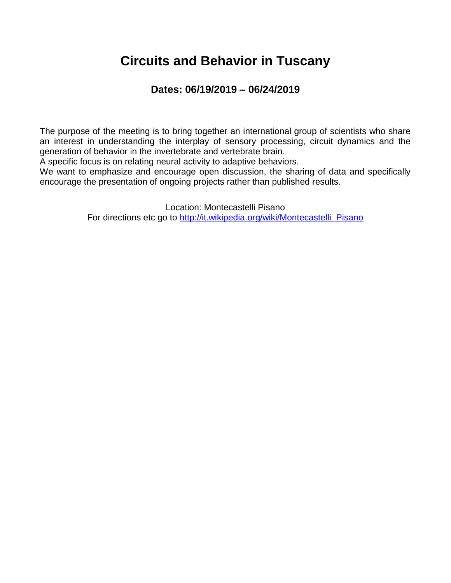### **Circuits and Behavior in Tuscany**

#### **Dates: 06/19/2019 – 06/24/2019**

The purpose of the meeting is to bring together an international group of scientists who share an interest in understanding the interplay of sensory processing, circuit dynamics and the generation of behavior in the invertebrate and vertebrate brain.

A specific focus is on relating neural activity to adaptive behaviors.

We want to emphasize and encourage open discussion, the sharing of data and specifically encourage the presentation of ongoing projects rather than published results.

> Location: Montecastelli Pisano For directions etc go to [http://it.wikipedia.org/wiki/Montecastelli\\_Pisano](http://it.wikipedia.org/wiki/Montecastelli_Pisano)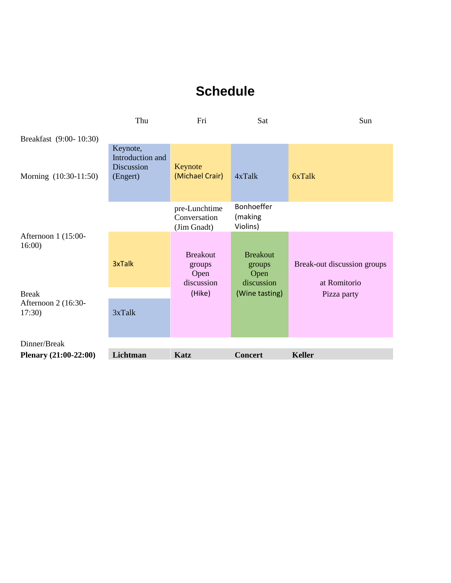### **Schedule**

|                              | Thu                                                    | Fri                                             | Sat                                             | Sun                                         |
|------------------------------|--------------------------------------------------------|-------------------------------------------------|-------------------------------------------------|---------------------------------------------|
| Breakfast (9:00-10:30)       |                                                        |                                                 |                                                 |                                             |
| Morning (10:30-11:50)        | Keynote,<br>Introduction and<br>Discussion<br>(Engert) | Keynote<br>(Michael Crair)                      | $4x$ Talk                                       | 6xTalk                                      |
|                              |                                                        | pre-Lunchtime<br>Conversation<br>(Jim Gnadt)    | Bonhoeffer<br>(making<br>Violins)               |                                             |
| Afternoon 1 (15:00-<br>16:00 | 3xTalk                                                 | <b>Breakout</b><br>groups<br>Open<br>discussion | <b>Breakout</b><br>groups<br>Open<br>discussion | Break-out discussion groups<br>at Romitorio |
| <b>Break</b>                 |                                                        | (Hike)                                          | (Wine tasting)                                  | Pizza party                                 |
| Afternoon 2 (16:30-<br>17:30 | 3xTalk                                                 |                                                 |                                                 |                                             |
| Dinner/Break                 |                                                        |                                                 |                                                 |                                             |
| Plenary (21:00-22:00)        | Lichtman                                               | Katz                                            | <b>Concert</b>                                  | <b>Keller</b>                               |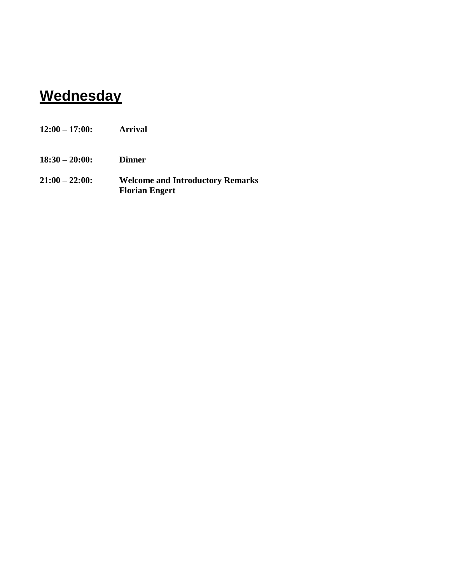# **Wednesday**

| $12:00 - 17:00:$ | <b>Arrival</b>                                                   |
|------------------|------------------------------------------------------------------|
| $18:30 - 20:00:$ | <b>Dinner</b>                                                    |
| $21:00 - 22:00$  | <b>Welcome and Introductory Remarks</b><br><b>Florian Engert</b> |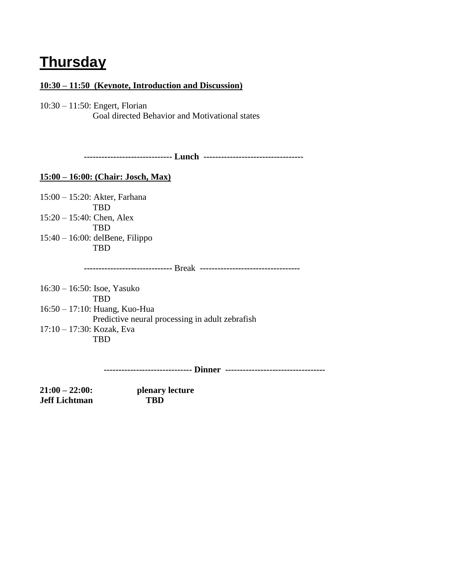### **Thursday**

#### **10:30 – 11:50 (Keynote, Introduction and Discussion)**

10:30 – 11:50: Engert, Florian Goal directed Behavior and Motivational states

 **------------------------------ Lunch ----------------------------------**

#### **15:00 – 16:00: (Chair: Josch, Max)**

15:00 – 15:20: Akter, Farhana TBD 15:20 – 15:40: Chen, Alex TBD 15:40 – 16:00: delBene, Filippo TBD

 **------------------------------** Break **----------------------------------**

16:30 – 16:50: Isoe, Yasuko TBD 16:50 – 17:10: Huang, Kuo-Hua Predictive neural processing in adult zebrafish 17:10 – 17:30: Kozak, Eva

TBD

 **------------------------------ Dinner ----------------------------------**

**21:00 – 22:00: plenary lecture Jeff Lichtman TBD**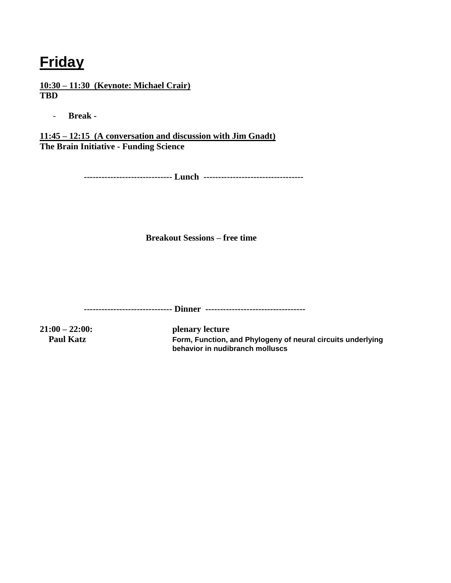## **Friday**

**10:30 – 11:30 (Keynote: Michael Crair) TBD**

- **Break -**

**11:45 – 12:15 (A conversation and discussion with Jim Gnadt) The Brain Initiative - Funding Science**

 **------------------------------ Lunch ----------------------------------**

**Breakout Sessions – free time**

 **------------------------------ Dinner ----------------------------------**

**21:00 – 22:00: plenary lecture Paul Katz Form, Function, and Phylogeny of neural circuits underlying behavior in nudibranch molluscs**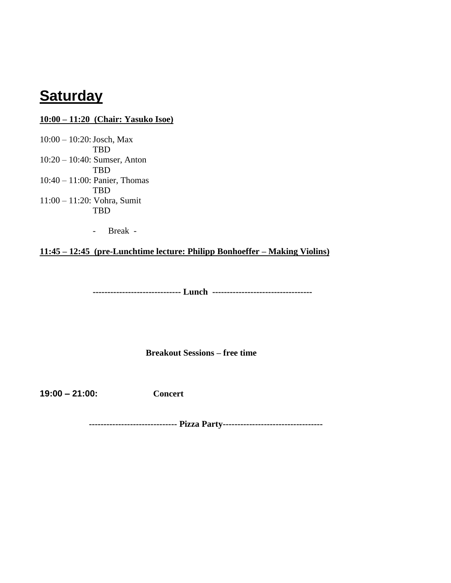### **Saturday**

#### **10:00 – 11:20 (Chair: Yasuko Isoe)**

10:00 – 10:20:Josch, Max TBD 10:20 – 10:40: Sumser, Anton TBD 10:40 – 11:00: Panier, Thomas TBD 11:00 – 11:20: Vohra, Sumit TBD

- Break -

**11:45 – 12:45 (pre-Lunchtime lecture: Philipp Bonhoeffer – Making Violins)**

**------------------------------ Lunch ----------------------------------**

**Breakout Sessions – free time**

**19:00 – 21:00: Concert**

 **------------------------------ Pizza Party----------------------------------**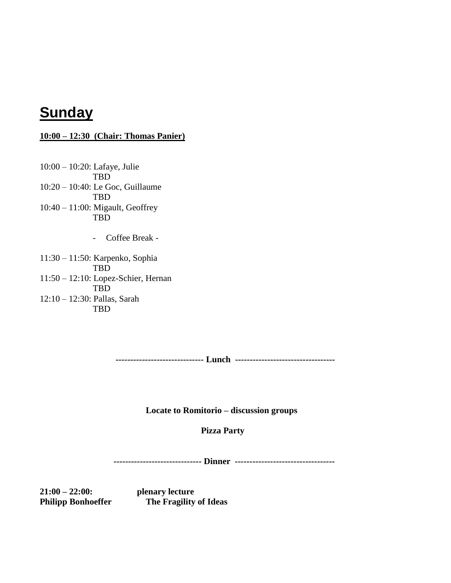### **Sunday**

#### **10:00 – 12:30 (Chair: Thomas Panier)**

10:00 – 10:20: Lafaye, Julie TBD 10:20 – 10:40: Le Goc, Guillaume TBD 10:40 – 11:00: Migault, Geoffrey TBD

- Coffee Break -

11:30 – 11:50: Karpenko, Sophia TBD 11:50 – 12:10: Lopez-Schier, Hernan TBD 12:10 – 12:30: Pallas, Sarah TBD

**------------------------------ Lunch ----------------------------------**

**Locate to Romitorio – discussion groups**

 **Pizza Party**

 **------------------------------ Dinner ----------------------------------**

**21:00 – 22:00: plenary lecture** 

**Philipp Bonhoeffer The Fragility of Ideas**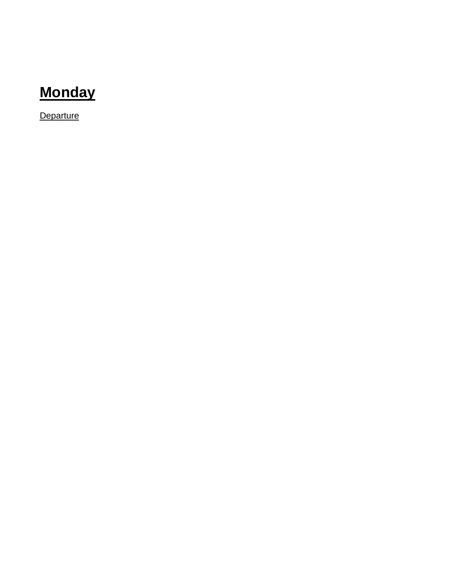# **Monday**

**Departure**